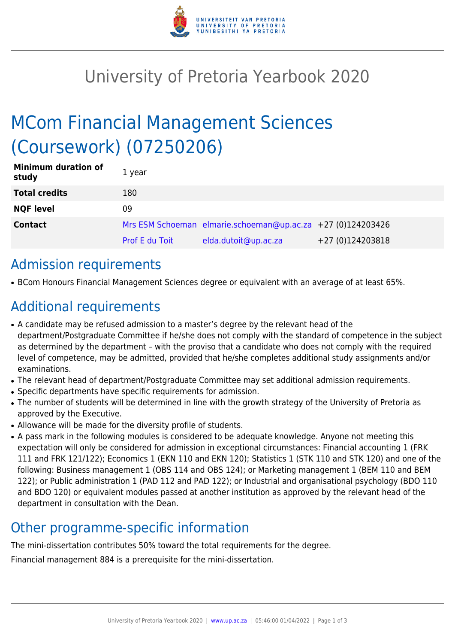

## University of Pretoria Yearbook 2020

# MCom Financial Management Sciences (Coursework) (07250206)

| <b>Minimum duration of</b><br>study | 1 year                |                                                             |                  |
|-------------------------------------|-----------------------|-------------------------------------------------------------|------------------|
| <b>Total credits</b>                | 180                   |                                                             |                  |
| <b>NQF level</b>                    | 09                    |                                                             |                  |
| <b>Contact</b>                      |                       | Mrs ESM Schoeman elmarie.schoeman@up.ac.za +27 (0)124203426 |                  |
|                                     | <b>Prof E du Toit</b> | elda.dutoit@up.ac.za                                        | +27 (0)124203818 |

### Admission requirements

● BCom Honours Financial Management Sciences degree or equivalent with an average of at least 65%.

### Additional requirements

- A candidate may be refused admission to a master's degree by the relevant head of the department/Postgraduate Committee if he/she does not comply with the standard of competence in the subject as determined by the department – with the proviso that a candidate who does not comply with the required level of competence, may be admitted, provided that he/she completes additional study assignments and/or examinations.
- The relevant head of department/Postgraduate Committee may set additional admission requirements.
- Specific departments have specific requirements for admission.
- The number of students will be determined in line with the growth strategy of the University of Pretoria as approved by the Executive.
- Allowance will be made for the diversity profile of students.
- A pass mark in the following modules is considered to be adequate knowledge. Anyone not meeting this expectation will only be considered for admission in exceptional circumstances: Financial accounting 1 (FRK 111 and FRK 121/122); Economics 1 (EKN 110 and EKN 120); Statistics 1 (STK 110 and STK 120) and one of the following: Business management 1 (OBS 114 and OBS 124); or Marketing management 1 (BEM 110 and BEM 122); or Public administration 1 (PAD 112 and PAD 122); or Industrial and organisational psychology (BDO 110 and BDO 120) or equivalent modules passed at another institution as approved by the relevant head of the department in consultation with the Dean.

### Other programme-specific information

The mini-dissertation contributes 50% toward the total requirements for the degree.

Financial management 884 is a prerequisite for the mini-dissertation.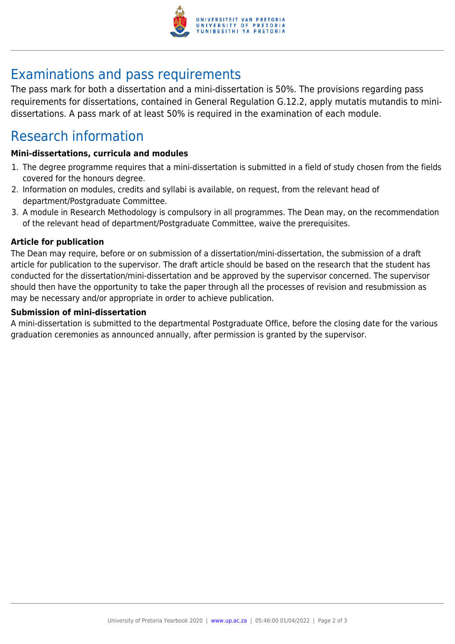

## Examinations and pass requirements

The pass mark for both a dissertation and a mini-dissertation is 50%. The provisions regarding pass requirements for dissertations, contained in General Regulation G.12.2, apply mutatis mutandis to minidissertations. A pass mark of at least 50% is required in the examination of each module.

### Research information

#### **Mini-dissertations, curricula and modules**

- 1. The degree programme requires that a mini-dissertation is submitted in a field of study chosen from the fields covered for the honours degree.
- 2. Information on modules, credits and syllabi is available, on request, from the relevant head of department/Postgraduate Committee.
- 3. A module in Research Methodology is compulsory in all programmes. The Dean may, on the recommendation of the relevant head of department/Postgraduate Committee, waive the prerequisites.

#### **Article for publication**

The Dean may require, before or on submission of a dissertation/mini-dissertation, the submission of a draft article for publication to the supervisor. The draft article should be based on the research that the student has conducted for the dissertation/mini-dissertation and be approved by the supervisor concerned. The supervisor should then have the opportunity to take the paper through all the processes of revision and resubmission as may be necessary and/or appropriate in order to achieve publication.

#### **Submission of mini-dissertation**

A mini-dissertation is submitted to the departmental Postgraduate Office, before the closing date for the various graduation ceremonies as announced annually, after permission is granted by the supervisor.